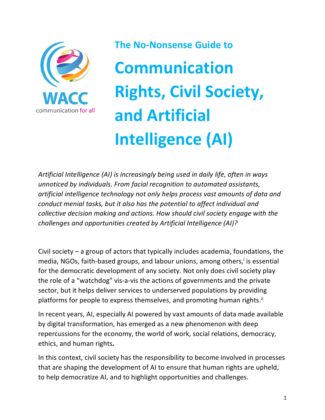

**The No-Nonsense Guide to Communication Rights, Civil Society, and Artificial Intelligence (AI)**

*Artificial Intelligence (AI) is increasingly being used in daily life, often in ways unnoticed by individuals. From facial recognition to automated assistants, artificial intelligence technology not only helps process vast amounts of data and conduct menial tasks, but it also has the potential to affect individual and collective decision making and actions. How should civil society engage with the challenges and opportunities created by Artificial Intelligence (AI)?*

Civil society – a group of actors that typically includes academia, foundations, the media, NGOs, faith-based groups, and labour unions, among others, is essential for the democratic development of any society. Not only does civil society play the role of a "watchdog" vis-a-vis the actions of governments and the private sector, but it helps deliver services to underserved populations by providing platforms for people to express themselves, and promoting human rights.<sup>ii</sup>

In recent years, AI, especially AI powered by vast amounts of data made available by digital transformation, has emerged as a new phenomenon with deep repercussions for the economy, the world of work, social relations, democracy, ethics, and human rights**.**

In this context, civil society has the responsibility to become involved in processes that are shaping the development of AI to ensure that human rights are upheld, to help democratize AI, and to highlight opportunities and challenges.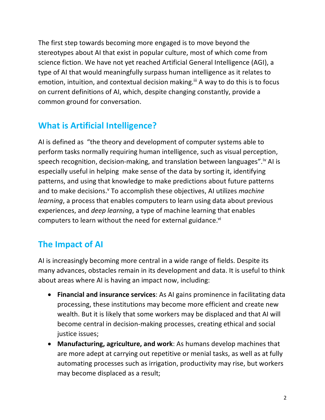The first step towards becoming more engaged is to move beyond the stereotypes about AI that exist in popular culture, most of which come from science fiction. We have not yet reached Artificial General Intelligence (AGI), a type of AI that would meaningfully surpass human intelligence as it relates to emotion, intuition, and contextual decision making.<sup>iii</sup> A way to do this is to focus on current definitions of AI, which, despite changing constantly, provide a common ground for conversation.

# **What is Artificial Intelligence?**

AI is defined as "the theory and development of computer systems able to perform tasks normally requiring human intelligence, such as visual perception, speech recognition, decision-making, and translation between languages".<sup>iv</sup> AI is especially useful in helping make sense of the data by sorting it, identifying patterns, and using that knowledge to make predictions about future patterns and to make decisions.<sup>v</sup> To accomplish these objectives, AI utilizes *machine learning*, a process that enables computers to learn using data about previous experiences, and *deep learning*, a type of machine learning that enables computers to learn without the need for external guidance.<sup>vi</sup>

## **The Impact of AI**

AI is increasingly becoming more central in a wide range of fields. Despite its many advances, obstacles remain in its development and data. It is useful to think about areas where AI is having an impact now, including:

- **Financial and insurance services**: As AI gains prominence in facilitating data processing, these institutions may become more efficient and create new wealth. But it is likely that some workers may be displaced and that AI will become central in decision-making processes, creating ethical and social justice issues;
- **Manufacturing, agriculture, and work**: As humans develop machines that are more adept at carrying out repetitive or menial tasks, as well as at fully automating processes such as irrigation, productivity may rise, but workers may become displaced as a result;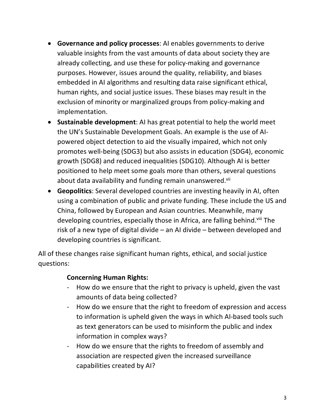- **Governance and policy processes**: AI enables governments to derive valuable insights from the vast amounts of data about society they are already collecting, and use these for policy-making and governance purposes. However, issues around the quality, reliability, and biases embedded in AI algorithms and resulting data raise significant ethical, human rights, and social justice issues. These biases may result in the exclusion of minority or marginalized groups from policy-making and implementation.
- **Sustainable development**: AI has great potential to help the world meet the UN's Sustainable Development Goals. An example is the use of AIpowered object detection to aid the visually impaired, which not only promotes well-being (SDG3) but also assists in education (SDG4), economic growth (SDG8) and reduced inequalities (SDG10). Although AI is better positioned to help meet some goals more than others, several questions about data availability and funding remain unanswered.<sup>vii</sup>
- **Geopolitics**: Several developed countries are investing heavily in AI, often using a combination of public and private funding. These include the US and China, followed by European and Asian countries. Meanwhile, many developing countries, especially those in Africa, are falling behind.<sup>viii</sup> The risk of a new type of digital divide – an AI divide – between developed and developing countries is significant.

All of these changes raise significant human rights, ethical, and social justice questions:

#### **Concerning Human Rights:**

- How do we ensure that the right to privacy is upheld, given the vast amounts of data being collected?
- How do we ensure that the right to freedom of expression and access to information is upheld given the ways in which AI-based tools such as text generators can be used to misinform the public and index information in complex ways?
- How do we ensure that the rights to freedom of assembly and association are respected given the increased surveillance capabilities created by AI?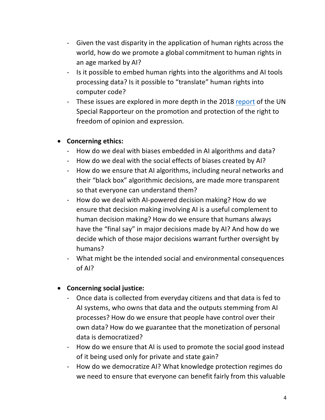- Given the vast disparity in the application of human rights across the world, how do we promote a global commitment to human rights in an age marked by AI?
- Is it possible to embed human rights into the algorithms and AI tools processing data? Is it possible to "translate" human rights into computer code?
- These issues are explored in more depth in the 2018 report of the UN Special Rapporteur on the promotion and protection of the right to freedom of opinion and expression.

### • **Concerning ethics:**

- How do we deal with biases embedded in AI algorithms and data?
- How do we deal with the social effects of biases created by AI?
- How do we ensure that AI algorithms, including neural networks and their "black box" algorithmic decisions, are made more transparent so that everyone can understand them?
- How do we deal with AI-powered decision making? How do we ensure that decision making involving AI is a useful complement to human decision making? How do we ensure that humans always have the "final say" in major decisions made by AI? And how do we decide which of those major decisions warrant further oversight by humans?
- What might be the intended social and environmental consequences of AI?

### • **Concerning social justice:**

- Once data is collected from everyday citizens and that data is fed to AI systems, who owns that data and the outputs stemming from AI processes? How do we ensure that people have control over their own data? How do we guarantee that the monetization of personal data is democratized?
- How do we ensure that AI is used to promote the social good instead of it being used only for private and state gain?
- How do we democratize AI? What knowledge protection regimes do we need to ensure that everyone can benefit fairly from this valuable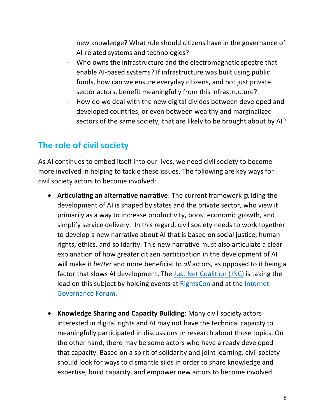new knowledge? What role should citizens have in the governance of AI-related systems and technologies?

- Who owns the infrastructure and the electromagnetic spectre that enable AI-based systems? If infrastructure was built using public funds, how can we ensure everyday citizens, and not just private sector actors, benefit meaningfully from this infrastructure?
- How do we deal with the new digital divides between developed and developed countries, or even between wealthy and marginalized sectors of the same society, that are likely to be brought about by AI?

### **The role of civil society**

As AI continues to embed itself into our lives, we need civil society to become more involved in helping to tackle these issues. The following are key ways for civil society actors to become involved:

- **Articulating an alternative narrative**: The current framework guiding the development of AI is shaped by states and the private sector, who view it primarily as a way to increase productivity, boost economic growth, and simplify service delivery. In this regard, civil society needs to work together to develop a new narrative about AI that is based on social justice, human rights, ethics, and solidarity. This new narrative must also articulate a clear explanation of how greater citizen participation in the development of AI will make it *better* and more beneficial to *all* actors, as opposed to it being a factor that slows AI development. The Just Net Coalition (JNC) is taking the lead on this subject by holding events at RightsCon and at the Internet Governance Forum.
- **Knowledge Sharing and Capacity Building**: Many civil society actors interested in digital rights and AI may not have the technical capacity to meaningfully participated in discussions or research about those topics. On the other hand, there may be some actors who have already developed that capacity. Based on a spirit of solidarity and joint learning, civil society should look for ways to dismantle silos in order to share knowledge and expertise, build capacity, and empower new actors to become involved.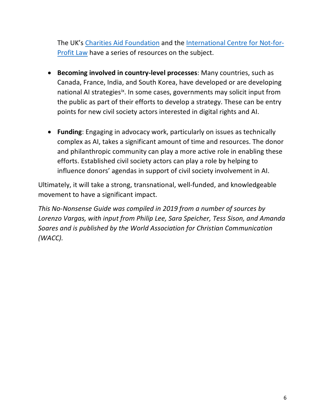The UK's Charities Aid Foundation and the International Centre for Not-for-Profit Law have a series of resources on the subject.

- **Becoming involved in country-level processes**: Many countries, such as Canada, France, India, and South Korea, have developed or are developing national AI strategies<sup>ix</sup>. In some cases, governments may solicit input from the public as part of their efforts to develop a strategy. These can be entry points for new civil society actors interested in digital rights and AI.
- **Funding**: Engaging in advocacy work, particularly on issues as technically complex as AI, takes a significant amount of time and resources. The donor and philanthropic community can play a more active role in enabling these efforts. Established civil society actors can play a role by helping to influence donors' agendas in support of civil society involvement in AI.

Ultimately, it will take a strong, transnational, well-funded, and knowledgeable movement to have a significant impact.

*This No-Nonsense Guide was compiled in 2019 from a number of sources by Lorenzo Vargas, with input from Philip Lee, Sara Speicher, Tess Sison, and Amanda Soares and is published by the World Association for Christian Communication (WACC).*